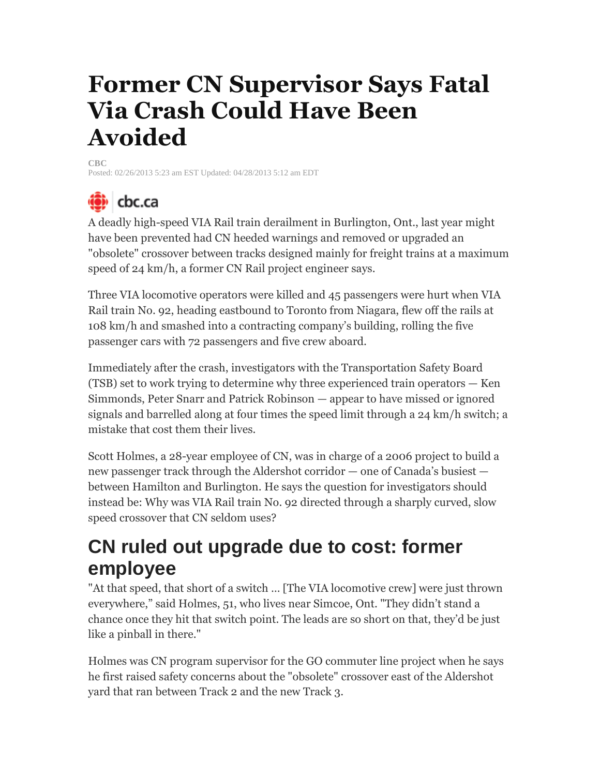# **Former CN Supervisor Says Fatal Via Crash Could Have Been Avoided**

**CBC** Posted: 02/26/2013 5:23 am EST Updated: 04/28/2013 5:12 am EDT

# <u>(ंैि)</u> cbc.ca

A deadly high-speed VIA Rail train derailment in Burlington, Ont., last year might have been prevented had CN heeded warnings and removed or upgraded an "obsolete" crossover between tracks designed mainly for freight trains at a maximum speed of 24 km/h, a former CN Rail project engineer says.

Three VIA locomotive operators were killed and 45 passengers were hurt when VIA Rail train No. 92, heading eastbound to Toronto from Niagara, flew off the rails at 108 km/h and smashed into a contracting company's building, rolling the five passenger cars with 72 passengers and five crew aboard.

Immediately after the crash, investigators with the Transportation Safety Board (TSB) set to work trying to determine why three experienced train operators — Ken Simmonds, Peter Snarr and Patrick Robinson — appear to have missed or ignored signals and barrelled along at four times the speed limit through a 24 km/h switch; a mistake that cost them their lives.

Scott Holmes, a 28-year employee of CN, was in charge of a 2006 project to build a new passenger track through the Aldershot corridor — one of Canada's busiest between Hamilton and Burlington. He says the question for investigators should instead be: Why was VIA Rail train No. 92 directed through a sharply curved, slow speed crossover that CN seldom uses?

#### **CN ruled out upgrade due to cost: former employee**

"At that speed, that short of a switch … [The VIA locomotive crew] were just thrown everywhere," said Holmes, 51, who lives near Simcoe, Ont. "They didn't stand a chance once they hit that switch point. The leads are so short on that, they'd be just like a pinball in there."

Holmes was CN program supervisor for the GO commuter line project when he says he first raised safety concerns about the "obsolete" crossover east of the Aldershot yard that ran between Track 2 and the new Track 3.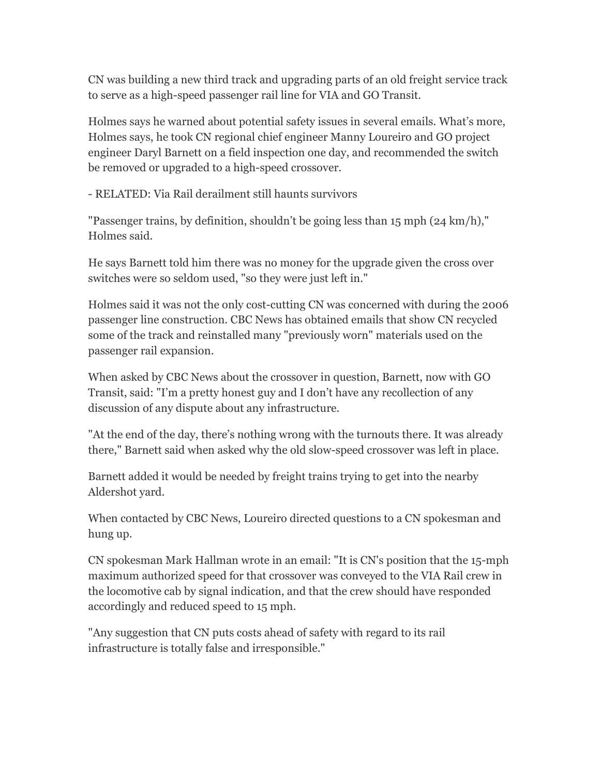CN was building a new third track and upgrading parts of an old freight service track to serve as a high-speed passenger rail line for VIA and GO Transit.

Holmes says he warned about potential safety issues in several emails. What's more, Holmes says, he took CN regional chief engineer Manny Loureiro and GO project engineer Daryl Barnett on a field inspection one day, and recommended the switch be removed or upgraded to a high-speed crossover.

- RELATED: Via Rail derailment still haunts survivors

"Passenger trains, by definition, shouldn't be going less than 15 mph (24 km/h)," Holmes said.

He says Barnett told him there was no money for the upgrade given the cross over switches were so seldom used, "so they were just left in."

Holmes said it was not the only cost-cutting CN was concerned with during the 2006 passenger line construction. CBC News has obtained emails that show CN recycled some of the track and reinstalled many "previously worn" materials used on the passenger rail expansion.

When asked by CBC News about the crossover in question, Barnett, now with GO Transit, said: "I'm a pretty honest guy and I don't have any recollection of any discussion of any dispute about any infrastructure.

"At the end of the day, there's nothing wrong with the turnouts there. It was already there," Barnett said when asked why the old slow-speed crossover was left in place.

Barnett added it would be needed by freight trains trying to get into the nearby Aldershot yard.

When contacted by CBC News, Loureiro directed questions to a CN spokesman and hung up.

CN spokesman Mark Hallman wrote in an email: "It is CN's position that the 15-mph maximum authorized speed for that crossover was conveyed to the VIA Rail crew in the locomotive cab by signal indication, and that the crew should have responded accordingly and reduced speed to 15 mph.

"Any suggestion that CN puts costs ahead of safety with regard to its rail infrastructure is totally false and irresponsible."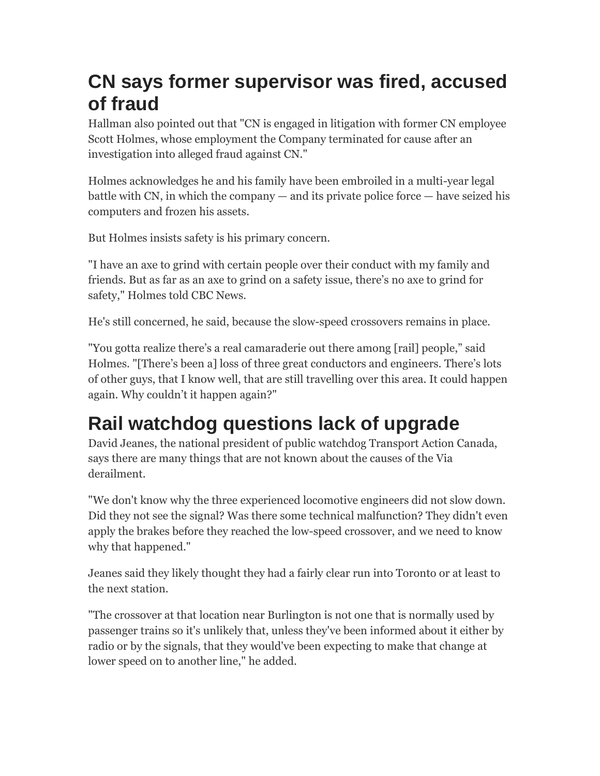## **CN says former supervisor was fired, accused of fraud**

Hallman also pointed out that "CN is engaged in litigation with former CN employee Scott Holmes, whose employment the Company terminated for cause after an investigation into alleged fraud against CN."

Holmes acknowledges he and his family have been embroiled in a multi-year legal battle with CN, in which the company  $-$  and its private police force  $-$  have seized his computers and frozen his assets.

But Holmes insists safety is his primary concern.

"I have an axe to grind with certain people over their conduct with my family and friends. But as far as an axe to grind on a safety issue, there's no axe to grind for safety," Holmes told CBC News.

He's still concerned, he said, because the slow-speed crossovers remains in place.

"You gotta realize there's a real camaraderie out there among [rail] people," said Holmes. "[There's been a] loss of three great conductors and engineers. There's lots of other guys, that I know well, that are still travelling over this area. It could happen again. Why couldn't it happen again?"

## **Rail watchdog questions lack of upgrade**

David Jeanes, the national president of public watchdog Transport Action Canada, says there are many things that are not known about the causes of the Via derailment.

"We don't know why the three experienced locomotive engineers did not slow down. Did they not see the signal? Was there some technical malfunction? They didn't even apply the brakes before they reached the low-speed crossover, and we need to know why that happened."

Jeanes said they likely thought they had a fairly clear run into Toronto or at least to the next station.

"The crossover at that location near Burlington is not one that is normally used by passenger trains so it's unlikely that, unless they've been informed about it either by radio or by the signals, that they would've been expecting to make that change at lower speed on to another line," he added.